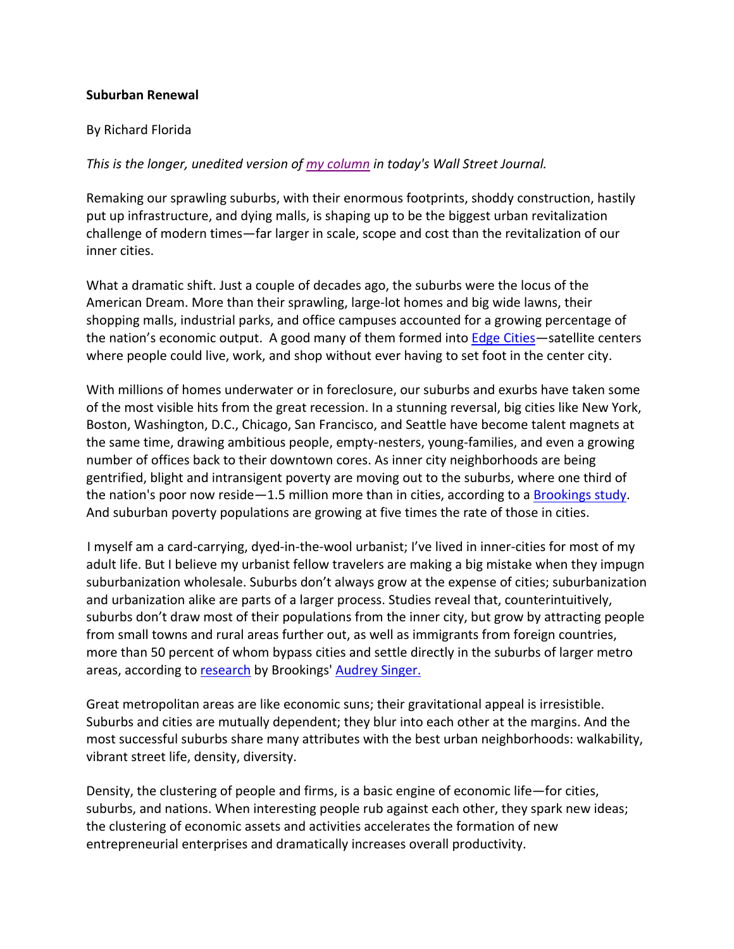## **Suburban Renewal**

## By Richard Florida

# *This is the longer, unedited version of my column in today's Wall Street Journal.*

Remaking our sprawling suburbs, with their enormous footprints, shoddy construction, hastily put up infrastructure, and dying malls, is shaping up to be the biggest urban revitalization challenge of modern times—far larger in scale, scope and cost than the revitalization of our inner cities.

What a dramatic shift. Just a couple of decades ago, the suburbs were the locus of the American Dream. More than their sprawling, large‐lot homes and big wide lawns, their shopping malls, industrial parks, and office campuses accounted for a growing percentage of the nation's economic output. A good many of them formed into Edge Cities—satellite centers where people could live, work, and shop without ever having to set foot in the center city.

With millions of homes underwater or in foreclosure, our suburbs and exurbs have taken some of the most visible hits from the great recession. In a stunning reversal, big cities like New York, Boston, Washington, D.C., Chicago, San Francisco, and Seattle have become talent magnets at the same time, drawing ambitious people, empty-nesters, young-families, and even a growing number of offices back to their downtown cores. As inner city neighborhoods are being gentrified, blight and intransigent poverty are moving out to the suburbs, where one third of the nation's poor now reside—1.5 million more than in cities, according to a Brookings study. And suburban poverty populations are growing at five times the rate of those in cities.

I myself am a card‐carrying, dyed‐in‐the‐wool urbanist; I've lived in inner‐cities for most of my adult life. But I believe my urbanist fellow travelers are making a big mistake when they impugn suburbanization wholesale. Suburbs don't always grow at the expense of cities; suburbanization and urbanization alike are parts of a larger process. Studies reveal that, counterintuitively, suburbs don't draw most of their populations from the inner city, but grow by attracting people from small towns and rural areas further out, as well as immigrants from foreign countries, more than 50 percent of whom bypass cities and settle directly in the suburbs of larger metro areas, according to research by Brookings' Audrey Singer.

Great metropolitan areas are like economic suns; their gravitational appeal is irresistible. Suburbs and cities are mutually dependent; they blur into each other at the margins. And the most successful suburbs share many attributes with the best urban neighborhoods: walkability, vibrant street life, density, diversity.

Density, the clustering of people and firms, is a basic engine of economic life—for cities, suburbs, and nations. When interesting people rub against each other, they spark new ideas; the clustering of economic assets and activities accelerates the formation of new entrepreneurial enterprises and dramatically increases overall productivity.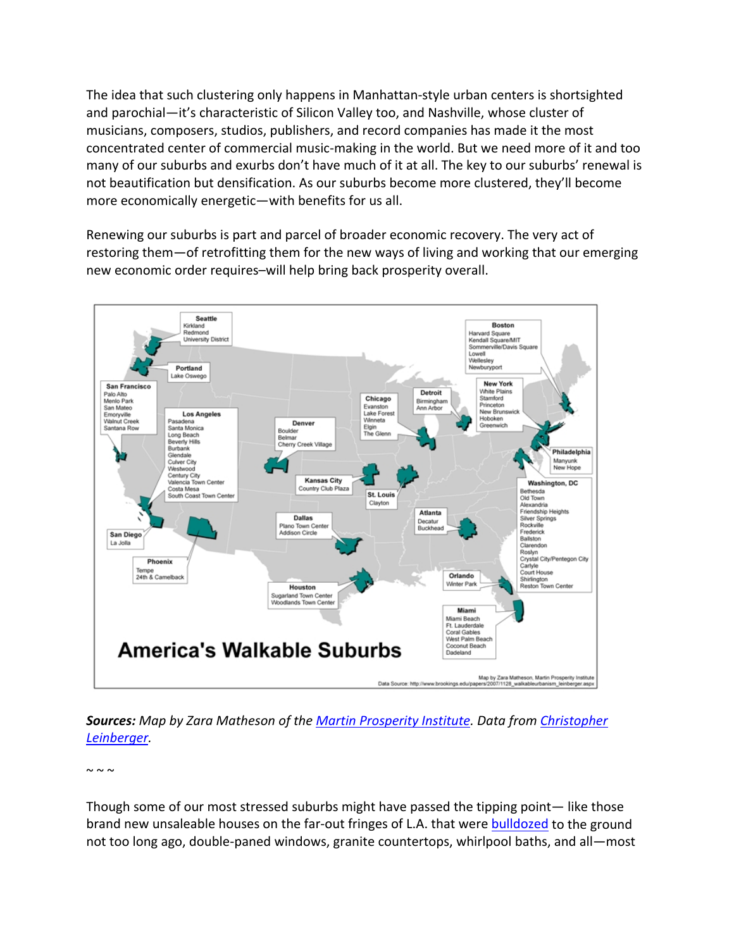The idea that such clustering only happens in Manhattan‐style urban centers is shortsighted and parochial—it's characteristic of Silicon Valley too, and Nashville, whose cluster of musicians, composers, studios, publishers, and record companies has made it the most concentrated center of commercial music‐making in the world. But we need more of it and too many of our suburbs and exurbs don't have much of it at all. The key to our suburbs' renewal is not beautification but densification. As our suburbs become more clustered, they'll become more economically energetic—with benefits for us all.

Renewing our suburbs is part and parcel of broader economic recovery. The very act of restoring them—of retrofitting them for the new ways of living and working that our emerging new economic order requires–will help bring back prosperity overall.



*Sources: Map by Zara Matheson of the Martin Prosperity Institute. Data from Christopher Leinberger.*

 $\sim \sim \sim$ 

Though some of our most stressed suburbs might have passed the tipping point— like those brand new unsaleable houses on the far-out fringes of L.A. that were bulldozed to the ground not too long ago, double‐paned windows, granite countertops, whirlpool baths, and all—most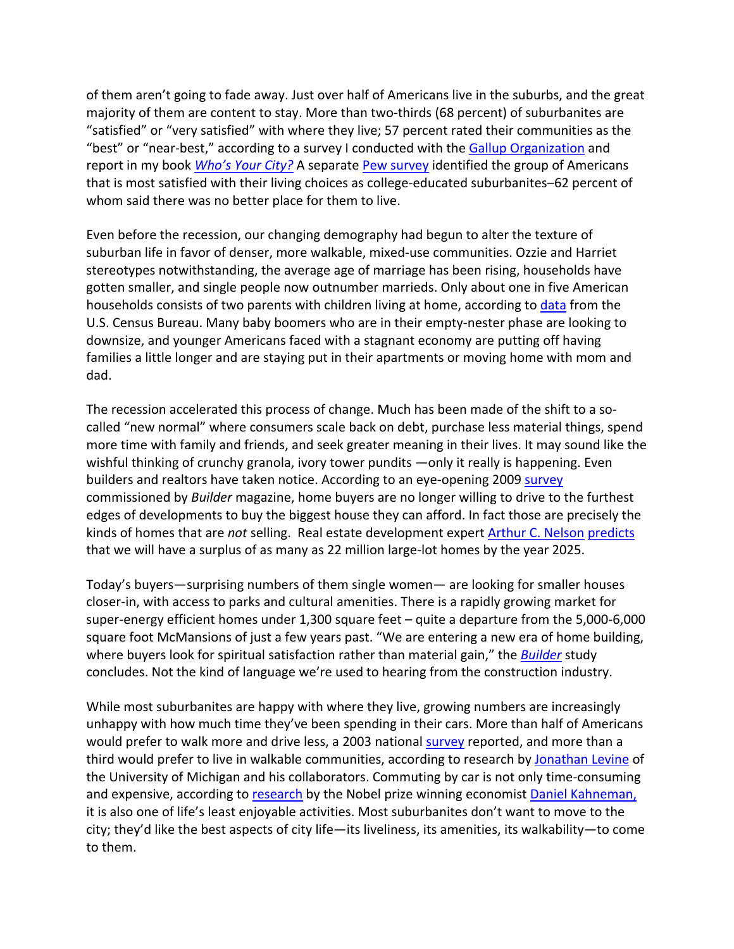of them aren't going to fade away. Just over half of Americans live in the suburbs, and the great majority of them are content to stay. More than two-thirds (68 percent) of suburbanites are "satisfied" or "very satisfied" with where they live; 57 percent rated their communities as the "best" or "near-best," according to a survey I conducted with the Gallup Organization and report in my book *Who's Your City?* A separate Pew survey identified the group of Americans that is most satisfied with their living choices as college‐educated suburbanites–62 percent of whom said there was no better place for them to live.

Even before the recession, our changing demography had begun to alter the texture of suburban life in favor of denser, more walkable, mixed‐use communities. Ozzie and Harriet stereotypes notwithstanding, the average age of marriage has been rising, households have gotten smaller, and single people now outnumber marrieds. Only about one in five American households consists of two parents with children living at home, according to data from the U.S. Census Bureau. Many baby boomers who are in their empty‐nester phase are looking to downsize, and younger Americans faced with a stagnant economy are putting off having families a little longer and are staying put in their apartments or moving home with mom and dad.

The recession accelerated this process of change. Much has been made of the shift to a socalled "new normal" where consumers scale back on debt, purchase less material things, spend more time with family and friends, and seek greater meaning in their lives. It may sound like the wishful thinking of crunchy granola, ivory tower pundits —only it really is happening. Even builders and realtors have taken notice. According to an eye-opening 2009 survey commissioned by *Builder* magazine, home buyers are no longer willing to drive to the furthest edges of developments to buy the biggest house they can afford. In fact those are precisely the kinds of homes that are *not* selling. Real estate development expert Arthur C. Nelson predicts that we will have a surplus of as many as 22 million large‐lot homes by the year 2025.

Today's buyers—surprising numbers of them single women— are looking for smaller houses closer‐in, with access to parks and cultural amenities. There is a rapidly growing market for super‐energy efficient homes under 1,300 square feet – quite a departure from the 5,000‐6,000 square foot McMansions of just a few years past. "We are entering a new era of home building, where buyers look for spiritual satisfaction rather than material gain," the *Builder* study concludes. Not the kind of language we're used to hearing from the construction industry.

While most suburbanites are happy with where they live, growing numbers are increasingly unhappy with how much time they've been spending in their cars. More than half of Americans would prefer to walk more and drive less, a 2003 national survey reported, and more than a third would prefer to live in walkable communities, according to research by Jonathan Levine of the University of Michigan and his collaborators. Commuting by car is not only time‐consuming and expensive, according to research by the Nobel prize winning economist Daniel Kahneman, it is also one of life's least enjoyable activities. Most suburbanites don't want to move to the city; they'd like the best aspects of city life—its liveliness, its amenities, its walkability—to come to them.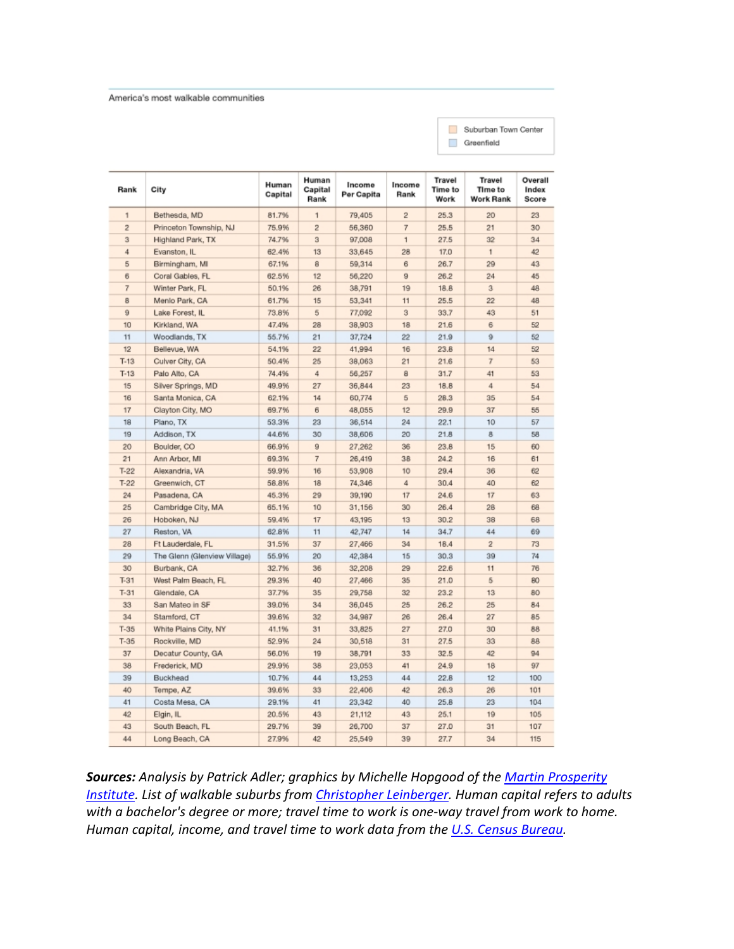### America's most walkable communities

| Suburban Town Center |
|----------------------|
| Greenfield           |

| Rank           | City                         | Human<br>Capital | Human<br>Capital<br>Rank | Income<br>Per Capita | Income<br>Rank | <b>Travel</b><br>Time to<br>Work | Travel<br>Time to<br><b>Work Rank</b> | Overall<br>Index<br>Score |
|----------------|------------------------------|------------------|--------------------------|----------------------|----------------|----------------------------------|---------------------------------------|---------------------------|
| 1              | Bethesda, MD                 | 81.7%            | 1                        | 79,405               | $\overline{2}$ | 25.3                             | 20                                    | 23                        |
| $\overline{2}$ | Princeton Township, NJ       | 75.9%            | $\bar{2}$                | 56,360               | $\overline{7}$ | 25.5                             | 21                                    | 30                        |
| 3              | Highland Park, TX            | 74.7%            | 3                        | 97,008               | $\mathbf{1}$   | 27.5                             | 32                                    | 34                        |
| 4              | Evanston, IL                 | 62.4%            | 13                       | 33,645               | 28             | 17.0                             | 1                                     | 42                        |
| 5              | Birmingham, MI               | 67.1%            | 8                        | 59,314               | 6              | 26.7                             | 29                                    | 43                        |
| 6              | Coral Gables, FL             | 62.5%            | 12                       | 56,220               | 9              | 26.2                             | 24                                    | 45                        |
| $\overline{r}$ | Winter Park, FL              | 50.1%            | 26                       | 38,791               | 19             | 18.8                             | 3                                     | 48                        |
| 8              | Menlo Park, CA               | 61.7%            | 15                       | 53,341               | 11             | 25.5                             | 22                                    | 48                        |
| 9              | Lake Forest, IL              | 73.8%            | 5                        | 77,092               | $\bar{a}$      | 33.7                             | 43                                    | 51                        |
| 10             | Kirkland, WA                 | 47.4%            | 28                       | 38,903               | 18             | 21.6                             | 6                                     | 52                        |
| 11             | Woodlands, TX                | 55.7%            | 21                       | 37,724               | 22             | 21.9                             | 9                                     | 52                        |
| 12             | Bellevue, WA                 | 54.1%            | 22                       | 41,994               | 16             | 23.8                             | 14                                    | 52                        |
| $T-13$         | Culver City, CA              | 50.4%            | 25                       | 38,063               | 21             | 21.6                             | $\overline{7}$                        | 53                        |
| $T-13$         | Palo Alto, CA                | 74.4%            | 4                        | 56,257               | a              | 31.7                             | 41                                    | 53                        |
| 15             | Silver Springs, MD           | 49.9%            | 27                       | 36,844               | 23             | 18.8                             | 4                                     | 54                        |
| 16             | Santa Monica, CA             | 62.1%            | 14                       | 60,774               | 5              | 28.3                             | 35                                    | 54                        |
| 17             | Clayton City, MO             | 69.7%            | 6                        | 48.055               | 12             | 29.9                             | 37                                    | 55                        |
| 18             | Plano, TX                    | 53.3%            | 23                       | 36,514               | 24             | 22.1                             | 10                                    | 57                        |
| 19             | Addison, TX                  | 44.6%            | 30                       | 38,606               | 20             | 21.8                             | 8                                     | 58                        |
| 20             | Boulder, CO                  | 66.9%            | 9                        | 27,262               | 36             | 23.8                             | 15                                    | 60                        |
| 21             | Ann Arbor, MI                | 69.3%            | 7                        | 26,419               | 38             | 24.2                             | 16                                    | 61                        |
| $T-22$         | Alexandria, VA               | 59.9%            | 16                       | 53,908               | 10             | 29.4                             | 36                                    | 62                        |
| $T-22$         | Greenwich, CT                | 58.8%            | 18                       | 74,346               | 4              | 30.4                             | 40                                    | 62                        |
| 24             | Pasadena, CA                 | 45,3%            | 29                       | 39,190               | 17             | 24.6                             | 17                                    | 63                        |
| 25             | Cambridge City, MA           | 65.1%            | 10                       | 31,156               | 30             | 26.4                             | 28                                    | 68                        |
| 26             | Hoboken, NJ                  | 59.4%            | 17                       | 43,195               | 13             | 30.2                             | 38                                    | 68                        |
| 27             | Reston, VA                   | 62.8%            | 11                       | 42,747               | 14             | 34.7                             | 44                                    | 69                        |
| 28             | Ft Lauderdale, FL            | 31.5%            | 37                       | 27,466               | 34             | 18.4                             | $\overline{2}$                        | 73                        |
| 29             | The Glenn (Glenview Village) | 55.9%            | 20                       | 42,384               | 15             | 30.3                             | 39                                    | 74                        |
| 30             | Burbank, CA                  | 32.7%            | 36                       | 32,208               | 29             | 22.6                             | 11                                    | 76                        |
| $T-31$         | West Palm Beach, FL          | 29.3%            | 40                       | 27,466               | 35             | 21.0                             | 5                                     | 80                        |
| $T-31$         | Glendale, CA                 | 37.7%            | 35                       | 29,758               | 32             | 23.2                             | 13                                    | 80                        |
| 33             | San Mateo in SF              | 39.0%            | 34                       | 36,045               | 25             | 26.2                             | 25                                    | 84                        |
| 34             | Stamford, CT                 | 39.6%            | 32                       | 34,987               | 26             | 26.4                             | 27                                    | 85                        |
| $T-35$         | White Plains City, NY        | 41.1%            | 31                       | 33,825               | 27             | 27.0                             | 30                                    | 88                        |
| $T-35$         | Rockville, MD                | 52.9%            | 24                       | 30,518               | 31             | 27.5                             | 33                                    | 88                        |
| 37             | Decatur County, GA           | 56.0%            | 19                       | 38,791               | 33             | 32.5                             | 42                                    | 94                        |
| 38             | Frederick, MD                | 29.9%            | 38                       | 23,053               | 41             | 24.9                             | 18                                    | 97                        |
| 39             | Buckhead                     | 10.7%            | 44                       | 13,253               | 44             | 22.8                             | 12                                    | 100                       |
| 40             | Tempe, AZ                    | 39.6%            | 33                       | 22,406               | 42             | 26.3                             | 26                                    | 101                       |
| 41             | Costa Mesa, CA               | 29.1%            | 41                       | 23,342               | 40             | 25.8                             | 23                                    | 104                       |
| 42             | Elgin, IL                    | 20.5%            | 43                       | 21,112               | 43             | 25.1                             | 19                                    | 105                       |
| 43             | South Beach, FL              | 29.7%            | 39                       | 26,700               | 37             | 27.0                             | 31                                    | 107                       |
| 44             | Long Beach, CA               | 27.9%            | 42                       | 25,549               | 39             | 27.7                             | 34                                    | 115                       |

*Sources: Analysis by Patrick Adler; graphics by Michelle Hopgood of the Martin Prosperity Institute. List of walkable suburbs from Christopher Leinberger. Human capital refers to adults with a bachelor's degree or more; travel time to work is one‐way travel from work to home. Human capital, income, and travel time to work data from the U.S. Census Bureau.*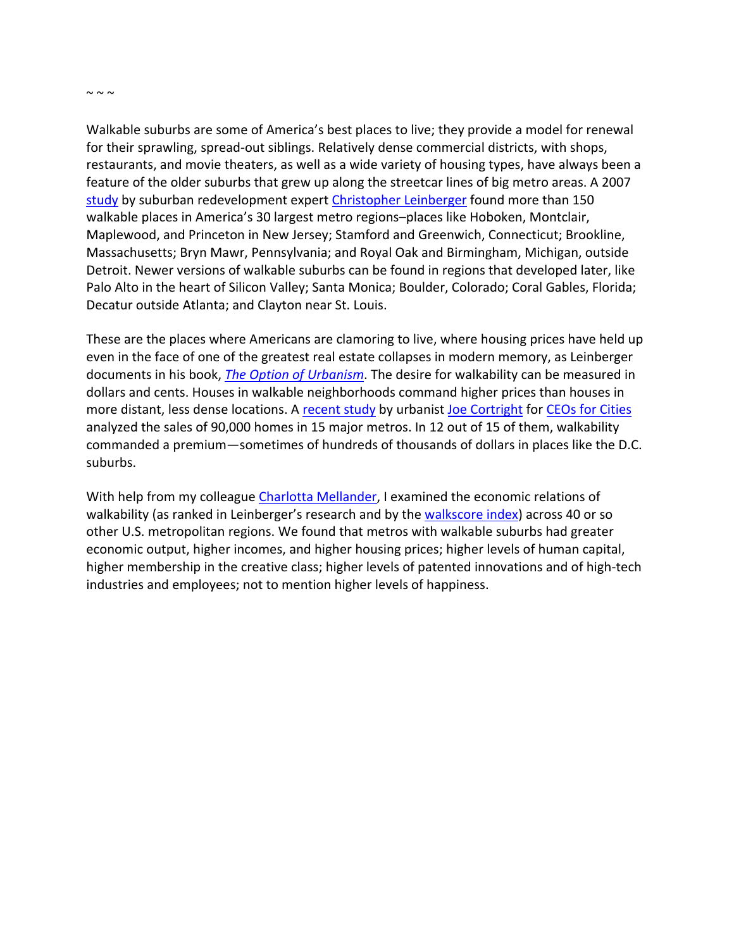$\sim \sim \sim$ 

Walkable suburbs are some of America's best places to live; they provide a model for renewal for their sprawling, spread‐out siblings. Relatively dense commercial districts, with shops, restaurants, and movie theaters, as well as a wide variety of housing types, have always been a feature of the older suburbs that grew up along the streetcar lines of big metro areas. A 2007 study by suburban redevelopment expert Christopher Leinberger found more than 150 walkable places in America's 30 largest metro regions–places like Hoboken, Montclair, Maplewood, and Princeton in New Jersey; Stamford and Greenwich, Connecticut; Brookline, Massachusetts; Bryn Mawr, Pennsylvania; and Royal Oak and Birmingham, Michigan, outside Detroit. Newer versions of walkable suburbs can be found in regions that developed later, like Palo Alto in the heart of Silicon Valley; Santa Monica; Boulder, Colorado; Coral Gables, Florida; Decatur outside Atlanta; and Clayton near St. Louis.

These are the places where Americans are clamoring to live, where housing prices have held up even in the face of one of the greatest real estate collapses in modern memory, as Leinberger documents in his book, *The Option of Urbanism*. The desire for walkability can be measured in dollars and cents. Houses in walkable neighborhoods command higher prices than houses in more distant, less dense locations. A recent study by urbanist Joe Cortright for CEOs for Cities analyzed the sales of 90,000 homes in 15 major metros. In 12 out of 15 of them, walkability commanded a premium—sometimes of hundreds of thousands of dollars in places like the D.C. suburbs.

With help from my colleague Charlotta Mellander, I examined the economic relations of walkability (as ranked in Leinberger's research and by the walkscore index) across 40 or so other U.S. metropolitan regions. We found that metros with walkable suburbs had greater economic output, higher incomes, and higher housing prices; higher levels of human capital, higher membership in the creative class; higher levels of patented innovations and of high‐tech industries and employees; not to mention higher levels of happiness.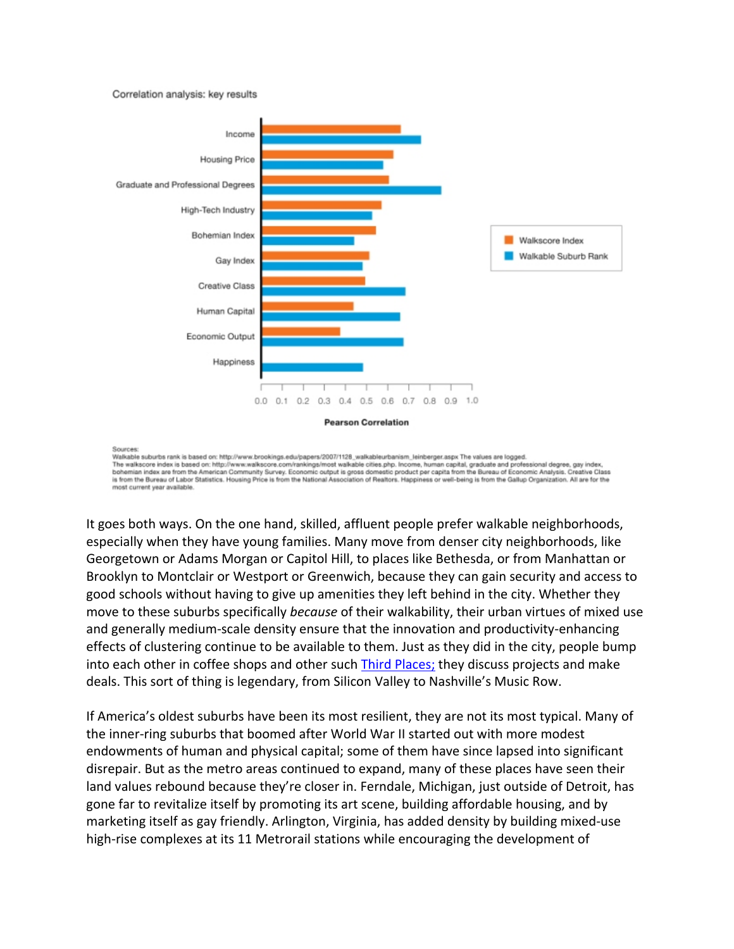#### Correlation analysis: key results



Sources

Walkable suburbs rank is based on: http://www.brookings.edu/papers/2007/1128\_walkableurbanism\_leinberger.aspx The values are logged. The walkscore index is based on: http://www.walkscore.com/rankings/most walkable cities.php. Income, human capital, graduate and professional degree, gay index,<br>bohemian index are from the American Community Survey. Econom is from the Bureau of Labor Statistics. Housing Price is from the National Association of Realtors. Happiness or well-being is from the Gallup Organization. All are for the most current year available

It goes both ways. On the one hand, skilled, affluent people prefer walkable neighborhoods, especially when they have young families. Many move from denser city neighborhoods, like Georgetown or Adams Morgan or Capitol Hill, to places like Bethesda, or from Manhattan or Brooklyn to Montclair or Westport or Greenwich, because they can gain security and access to good schools without having to give up amenities they left behind in the city. Whether they move to these suburbs specifically *because* of their walkability, their urban virtues of mixed use and generally medium-scale density ensure that the innovation and productivity-enhancing effects of clustering continue to be available to them. Just as they did in the city, people bump into each other in coffee shops and other such Third Places; they discuss projects and make deals. This sort of thing is legendary, from Silicon Valley to Nashville's Music Row.

If America's oldest suburbs have been its most resilient, they are not its most typical. Many of the inner-ring suburbs that boomed after World War II started out with more modest endowments of human and physical capital; some of them have since lapsed into significant disrepair. But as the metro areas continued to expand, many of these places have seen their land values rebound because they're closer in. Ferndale, Michigan, just outside of Detroit, has gone far to revitalize itself by promoting its art scene, building affordable housing, and by marketing itself as gay friendly. Arlington, Virginia, has added density by building mixed‐use high-rise complexes at its 11 Metrorail stations while encouraging the development of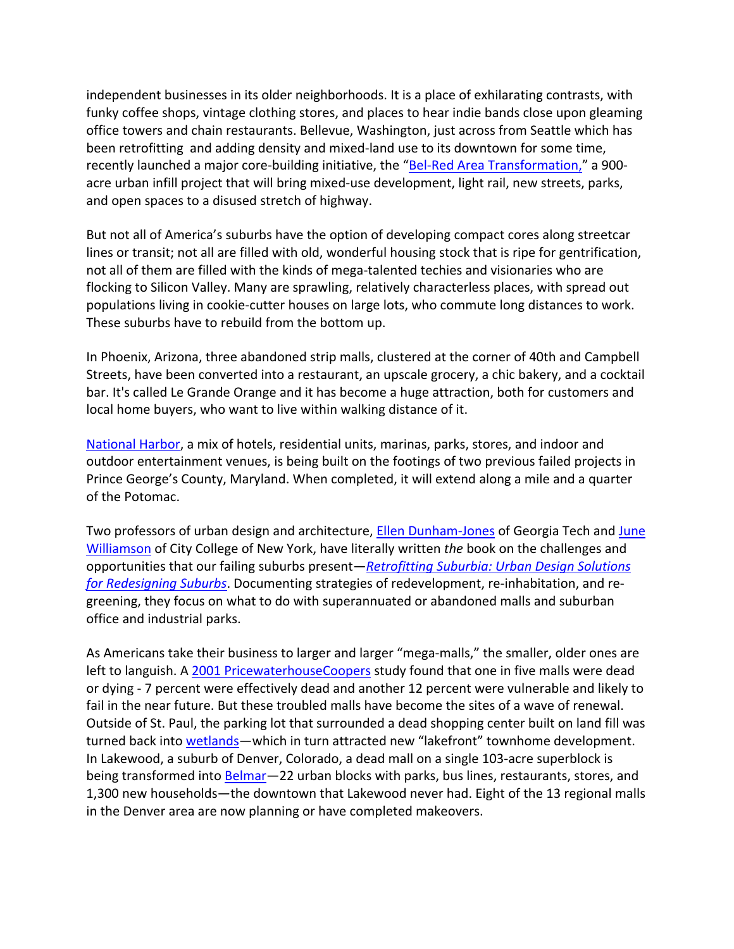independent businesses in its older neighborhoods. It is a place of exhilarating contrasts, with funky coffee shops, vintage clothing stores, and places to hear indie bands close upon gleaming office towers and chain restaurants. Bellevue, Washington, just across from Seattle which has been retrofitting and adding density and mixed-land use to its downtown for some time, recently launched a major core-building initiative, the "Bel-Red Area Transformation," a 900acre urban infill project that will bring mixed‐use development, light rail, new streets, parks, and open spaces to a disused stretch of highway.

But not all of America's suburbs have the option of developing compact cores along streetcar lines or transit; not all are filled with old, wonderful housing stock that is ripe for gentrification, not all of them are filled with the kinds of mega‐talented techies and visionaries who are flocking to Silicon Valley. Many are sprawling, relatively characterless places, with spread out populations living in cookie‐cutter houses on large lots, who commute long distances to work. These suburbs have to rebuild from the bottom up.

In Phoenix, Arizona, three abandoned strip malls, clustered at the corner of 40th and Campbell Streets, have been converted into a restaurant, an upscale grocery, a chic bakery, and a cocktail bar. It's called Le Grande Orange and it has become a huge attraction, both for customers and local home buyers, who want to live within walking distance of it.

National Harbor, a mix of hotels, residential units, marinas, parks, stores, and indoor and outdoor entertainment venues, is being built on the footings of two previous failed projects in Prince George's County, Maryland. When completed, it will extend along a mile and a quarter of the Potomac.

Two professors of urban design and architecture, **Ellen Dunham-Jones of Georgia Tech and June** Williamson of City College of New York, have literally written *the* book on the challenges and opportunities that our failing suburbs present—*Retrofitting Suburbia: Urban Design Solutions for Redesigning Suburbs*. Documenting strategies of redevelopment, re‐inhabitation, and re‐ greening, they focus on what to do with superannuated or abandoned malls and suburban office and industrial parks.

As Americans take their business to larger and larger "mega-malls," the smaller, older ones are left to languish. A 2001 PricewaterhouseCoopers study found that one in five malls were dead or dying ‐ 7 percent were effectively dead and another 12 percent were vulnerable and likely to fail in the near future. But these troubled malls have become the sites of a wave of renewal. Outside of St. Paul, the parking lot that surrounded a dead shopping center built on land fill was turned back into wetlands—which in turn attracted new "lakefront" townhome development. In Lakewood, a suburb of Denver, Colorado, a dead mall on a single 103‐acre superblock is being transformed into **Belmar**—22 urban blocks with parks, bus lines, restaurants, stores, and 1,300 new households—the downtown that Lakewood never had. Eight of the 13 regional malls in the Denver area are now planning or have completed makeovers.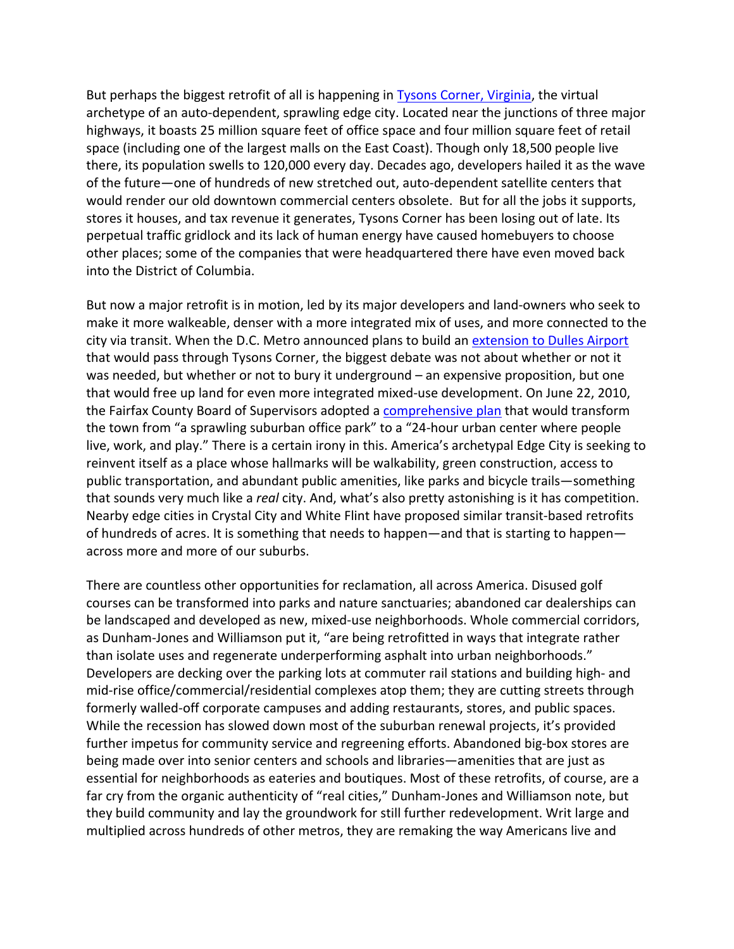But perhaps the biggest retrofit of all is happening in Tysons Corner, Virginia, the virtual archetype of an auto-dependent, sprawling edge city. Located near the junctions of three major highways, it boasts 25 million square feet of office space and four million square feet of retail space (including one of the largest malls on the East Coast). Though only 18,500 people live there, its population swells to 120,000 every day. Decades ago, developers hailed it as the wave of the future—one of hundreds of new stretched out, auto‐dependent satellite centers that would render our old downtown commercial centers obsolete. But for all the jobs it supports, stores it houses, and tax revenue it generates, Tysons Corner has been losing out of late. Its perpetual traffic gridlock and its lack of human energy have caused homebuyers to choose other places; some of the companies that were headquartered there have even moved back into the District of Columbia.

But now a major retrofit is in motion, led by its major developers and land-owners who seek to make it more walkeable, denser with a more integrated mix of uses, and more connected to the city via transit. When the D.C. Metro announced plans to build an extension to Dulles Airport that would pass through Tysons Corner, the biggest debate was not about whether or not it was needed, but whether or not to bury it underground – an expensive proposition, but one that would free up land for even more integrated mixed‐use development. On June 22, 2010, the Fairfax County Board of Supervisors adopted a comprehensive plan that would transform the town from "a sprawling suburban office park" to a "24‐hour urban center where people live, work, and play." There is a certain irony in this. America's archetypal Edge City is seeking to reinvent itself as a place whose hallmarks will be walkability, green construction, access to public transportation, and abundant public amenities, like parks and bicycle trails—something that sounds very much like a *real* city. And, what's also pretty astonishing is it has competition. Nearby edge cities in Crystal City and White Flint have proposed similar transit‐based retrofits of hundreds of acres. It is something that needs to happen—and that is starting to happen across more and more of our suburbs.

There are countless other opportunities for reclamation, all across America. Disused golf courses can be transformed into parks and nature sanctuaries; abandoned car dealerships can be landscaped and developed as new, mixed-use neighborhoods. Whole commercial corridors, as Dunham‐Jones and Williamson put it, "are being retrofitted in ways that integrate rather than isolate uses and regenerate underperforming asphalt into urban neighborhoods." Developers are decking over the parking lots at commuter rail stations and building high- and mid-rise office/commercial/residential complexes atop them; they are cutting streets through formerly walled‐off corporate campuses and adding restaurants, stores, and public spaces. While the recession has slowed down most of the suburban renewal projects, it's provided further impetus for community service and regreening efforts. Abandoned big-box stores are being made over into senior centers and schools and libraries—amenities that are just as essential for neighborhoods as eateries and boutiques. Most of these retrofits, of course, are a far cry from the organic authenticity of "real cities," Dunham‐Jones and Williamson note, but they build community and lay the groundwork for still further redevelopment. Writ large and multiplied across hundreds of other metros, they are remaking the way Americans live and